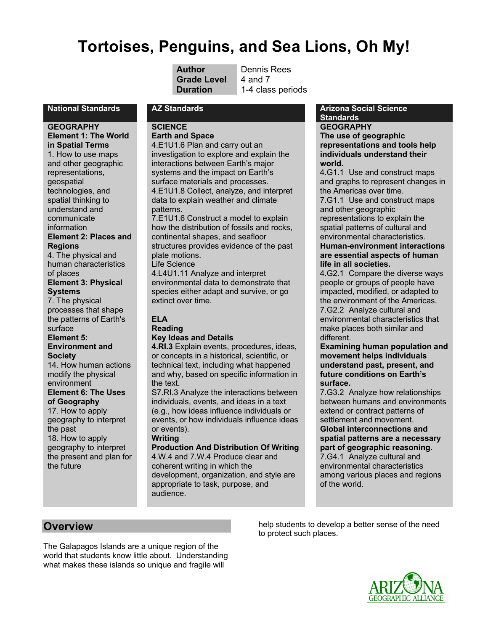# **Tortoises, Penguins, and Sea Lions, Oh My!**

| Author            |
|-------------------|
| <b>Grade Leve</b> |
| <b>Duration</b>   |

**Dennis Rees 4 and 7** 1-4 class periods

**GEOGRAPHY Element 1: The World in Spatial Terms**  1. How to use maps and other geographic representations, geospatial technologies, and spatial thinking to understand and communicate information **Element 2: Places and Regions**

4. The physical and human characteristics of places **Element 3: Physical** 

#### **Systems**

7. The physical processes that shape the patterns of Earth's surface

## **Element 5:**

**Environment and Society**

14. How human actions modify the physical environment

#### **Element 6: The Uses of Geography**

17. How to apply geography to interpret the past 18. How to apply geography to interpret the present and plan for the future

## **SCIENCE**

**Earth and Space** 4.E1U1.6 Plan and carry out an investigation to explore and explain the interactions between Earth's major systems and the impact on Earth's surface materials and processes. 4.E1U1.8 Collect, analyze, and interpret data to explain weather and climate patterns.

7.E1U1.6 Construct a model to explain how the distribution of fossils and rocks, continental shapes, and seafloor structures provides evidence of the past plate motions.

Life Science 4.L4U1.11 Analyze and interpret

environmental data to demonstrate that species either adapt and survive, or go extinct over time.

#### **ELA Reading**

## **Key Ideas and Details**

**4.RI.3** Explain events, procedures, ideas, or concepts in a historical, scientific, or technical text, including what happened and why, based on specific information in the text.

S7.RI.3 Analyze the interactions between individuals, events, and ideas in a text (e.g., how ideas influence individuals or events, or how individuals influence ideas or events).

## **Writing**

## **Production And Distribution Of Writing**

4.W.4 and 7.W.4 Produce clear and coherent writing in which the development, organization, and style are appropriate to task, purpose, and audience.

#### **National Standards AZ Standards Arizona Social Science Standards**

## **GEOGRAPHY**

**The use of geographic representations and tools help individuals understand their world.**

4.G1.1 Use and construct maps and graphs to represent changes in the Americas over time.

7.G1.1 Use and construct maps and other geographic representations to explain the spatial patterns of cultural and

#### environmental characteristics. **Human-environment interactions are essential aspects of human life in all societies.**

4.G2.1 Compare the diverse ways people or groups of people have impacted, modified, or adapted to the environment of the Americas. 7.G2.2 Analyze cultural and environmental characteristics that make places both similar and different.

#### **Examining human population and movement helps individuals understand past, present, and future conditions on Earth's surface.**

7.G3.2 Analyze how relationships between humans and environments extend or contract patterns of settlement and movement.

**Global interconnections and spatial patterns are a necessary part of geographic reasoning.** 7.G4.1 Analyze cultural and environmental characteristics among various places and regions of the world.

## **Overview**

The Galapagos Islands are a unique region of the world that students know little about. Understanding what makes these islands so unique and fragile will

help students to develop a better sense of the need to protect such places.

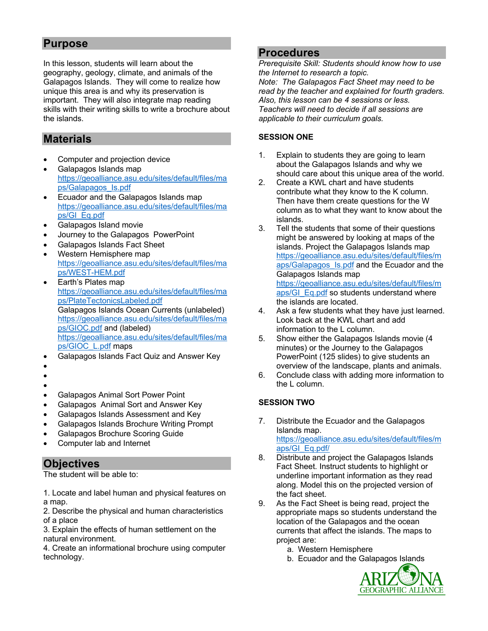## **Purpose**

In this lesson, students will learn about the geography, geology, climate, and animals of the Galapagos Islands. They will come to realize how unique this area is and why its preservation is important. They will also integrate map reading skills with their writing skills to write a brochure about the islands.

## **Materials**

- Computer and projection device
- Galapagos Islands map https://geoalliance.asu.edu/sites/default/files/ma ps/Galapagos\_Is.pdf
- Ecuador and the Galapagos Islands map https://geoalliance.asu.edu/sites/default/files/ma ps/GI\_Eq.pdf
- Galapagos Island movie
- Journey to the Galapagos PowerPoint
- Galapagos Islands Fact Sheet
- Western Hemisphere map https://geoalliance.asu.edu/sites/default/files/ma ps/WEST-HEM.pdf
- Earth's Plates map https://geoalliance.asu.edu/sites/default/files/ma ps/PlateTectonicsLabeled.pdf Galapagos Islands Ocean Currents (unlabeled) https://geoalliance.asu.edu/sites/default/files/ma ps/GIOC.pdf and (labeled) https://geoalliance.asu.edu/sites/default/files/ma ps/GIOC\_L.pdf maps
- Galapagos Islands Fact Quiz and Answer Key
- •
- •
- •
- Galapagos Animal Sort Power Point
- Galapagos Animal Sort and Answer Key
- Galapagos Islands Assessment and Key
- Galapagos Islands Brochure Writing Prompt
- Galapagos Brochure Scoring Guide
- Computer lab and Internet

## **Objectives**

The student will be able to:

1. Locate and label human and physical features on a map.

2. Describe the physical and human characteristics of a place

3. Explain the effects of human settlement on the natural environment.

4. Create an informational brochure using computer technology.

## **Procedures**

*Prerequisite Skill: Students should know how to use the Internet to research a topic. Note: The Galapagos Fact Sheet may need to be read by the teacher and explained for fourth graders. Also, this lesson can be 4 sessions or less. Teachers will need to decide if all sessions are applicable to their curriculum goals.* 

## **SESSION ONE**

- 1. Explain to students they are going to learn about the Galapagos Islands and why we should care about this unique area of the world.
- 2. Create a KWL chart and have students contribute what they know to the K column. Then have them create questions for the W column as to what they want to know about the islands.
- 3. Tell the students that some of their questions might be answered by looking at maps of the islands. Project the Galapagos Islands map https://geoalliance.asu.edu/sites/default/files/m aps/Galapagos\_Is.pdf and the Ecuador and the Galapagos Islands map https://geoalliance.asu.edu/sites/default/files/m aps/GI\_Eq.pdf so students understand where the islands are located.
- 4. Ask a few students what they have just learned. Look back at the KWL chart and add information to the L column.
- 5. Show either the Galapagos Islands movie (4 minutes) or the Journey to the Galapagos PowerPoint (125 slides) to give students an overview of the landscape, plants and animals.
- 6. Conclude class with adding more information to the L column.

## **SESSION TWO**

- 7. Distribute the Ecuador and the Galapagos Islands map. https://geoalliance.asu.edu/sites/default/files/m aps/GI\_Eq.pdf/
- 8. Distribute and project the Galapagos Islands Fact Sheet. Instruct students to highlight or underline important information as they read along. Model this on the projected version of the fact sheet.
- 9. As the Fact Sheet is being read, project the appropriate maps so students understand the location of the Galapagos and the ocean currents that affect the islands. The maps to project are:
	- a. Western Hemisphere
	- b. Ecuador and the Galapagos Islands